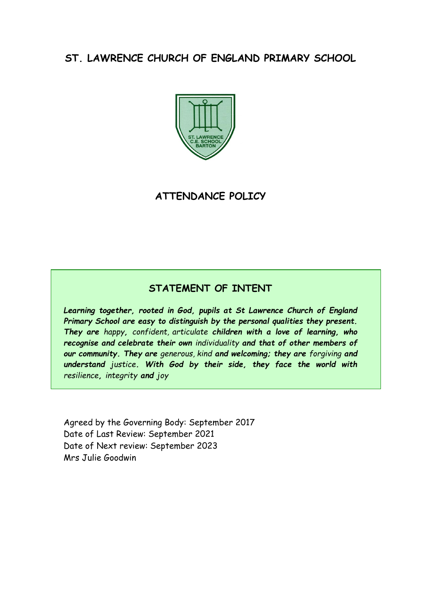# **ST. LAWRENCE CHURCH OF ENGLAND PRIMARY SCHOOL**



## **ATTENDANCE POLICY**

## **STATEMENT OF INTENT**

*Learning together, rooted in God, pupils at St Lawrence Church of England Primary School are easy to distinguish by the personal qualities they present. They are happy, confident, articulate children with a love of learning, who recognise and celebrate their own individuality and that of other members of our community. They are generous, kind and welcoming; they are forgiving and understand justice. With God by their side, they face the world with resilience, integrity and joy*

Agreed by the Governing Body: September 2017 Date of Last Review: September 2021 Date of Next review: September 2023 Mrs Julie Goodwin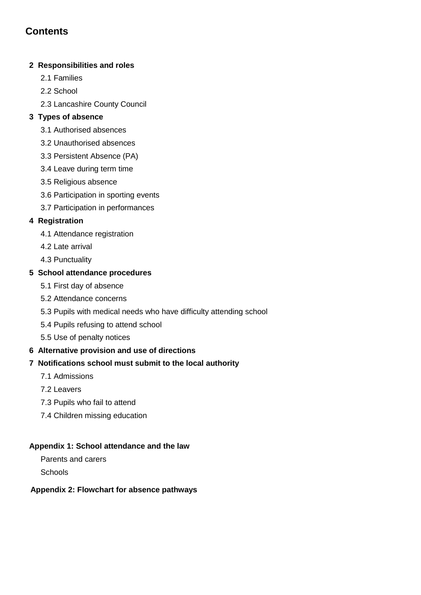## **Contents**

### **[2 Responsibilities and roles](#page-3-0)**

- [2.1 Families](#page-3-1)
- [2.2 School](#page-3-2)
- [2.3 Lancashire County Council](#page-4-0)

### **[3 Types of absence](#page-4-1)**

- [3.1 Authorised absences](#page-5-0)
- [3.2 Unauthorised absences](#page-5-1)
- [3.3 Persistent Absence \(PA\)](#page-5-2)
- [3.4 Leave during term time](#page-5-3)
- [3.5 Religious absence](#page-6-0)
- [3.6 Participation in sporting events](#page-6-1)
- [3.7 Participation in performances](#page-6-2)

### **[4 Registration](#page-6-3)**

- [4.1 Attendance registration](#page-6-4)
- [4.2 Late arrival](#page-6-5)
- [4.3 Punctuality](#page-7-0)

### **[5 School attendance procedures](#page-7-1)**

- [5.1 First day of absence](#page-7-2)
- [5.2 Attendance concerns](#page-7-3)
- [5.3 Pupils with medical needs who have difficulty attending school](#page-7-4)
- [5.4 Pupils refusing to attend school](#page-8-0)
- 5.5 [Use of penalty notices](#page-8-1)
- **[6 Alternative provision and use of directions](#page-8-2)**

### **[7 Notifications school must submit to the local authority](#page-8-3)**

- [7.1 Admissions](#page-8-4)
- [7.2 Leavers](#page-8-5)
- [7.3 Pupils who fail to attend](#page-9-0)
- [7.4 Children missing education](#page-9-1)

### **Appendix [1: School attendance and the law](#page-10-0)**

[Parents and carers](#page-10-1) **[Schools](#page-11-0)** 

### **Appendix 2: Flowchart for absence pathways**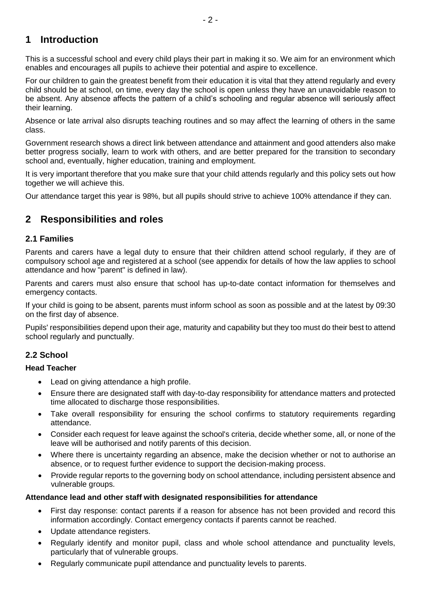## **1 Introduction**

This is a successful school and every child plays their part in making it so. We aim for an environment which enables and encourages all pupils to achieve their potential and aspire to excellence.

For our children to gain the greatest benefit from their education it is vital that they attend regularly and every child should be at school, on time, every day the school is open unless they have an unavoidable reason to be absent. Any absence affects the pattern of a child's schooling and regular absence will seriously affect their learning.

Absence or late arrival also disrupts teaching routines and so may affect the learning of others in the same class.

Government research shows a direct link between attendance and attainment and good attenders also make better progress socially, learn to work with others, and are better prepared for the transition to secondary school and, eventually, higher education, training and employment.

It is very important therefore that you make sure that your child attends regularly and this policy sets out how together we will achieve this.

Our attendance target this year is 98%, but all pupils should strive to achieve 100% attendance if they can.

## <span id="page-3-0"></span>**2 Responsibilities and roles**

### <span id="page-3-1"></span>**2.1 Families**

Parents and carers have a legal duty to ensure that their children attend school regularly, if they are of compulsory school age and registered at a school (see appendix for details of how the law applies to school attendance and how "parent" is defined in law).

Parents and carers must also ensure that school has up-to-date contact information for themselves and emergency contacts.

If your child is going to be absent, parents must inform school as soon as possible and at the latest by 09:30 on the first day of absence.

Pupils' responsibilities depend upon their age, maturity and capability but they too must do their best to attend school regularly and punctually.

### <span id="page-3-2"></span>**2.2 School**

### **Head Teacher**

- Lead on giving attendance a high profile.
- Ensure there are designated staff with day-to-day responsibility for attendance matters and protected time allocated to discharge those responsibilities.
- Take overall responsibility for ensuring the school confirms to statutory requirements regarding attendance.
- Consider each request for leave against the school's criteria, decide whether some, all, or none of the leave will be authorised and notify parents of this decision.
- Where there is uncertainty regarding an absence, make the decision whether or not to authorise an absence, or to request further evidence to support the decision-making process.
- Provide regular reports to the governing body on school attendance, including persistent absence and vulnerable groups.

#### **Attendance lead and other staff with designated responsibilities for attendance**

- First day response: contact parents if a reason for absence has not been provided and record this information accordingly. Contact emergency contacts if parents cannot be reached.
- Update attendance registers.
- Regularly identify and monitor pupil, class and whole school attendance and punctuality levels, particularly that of vulnerable groups.
- Regularly communicate pupil attendance and punctuality levels to parents.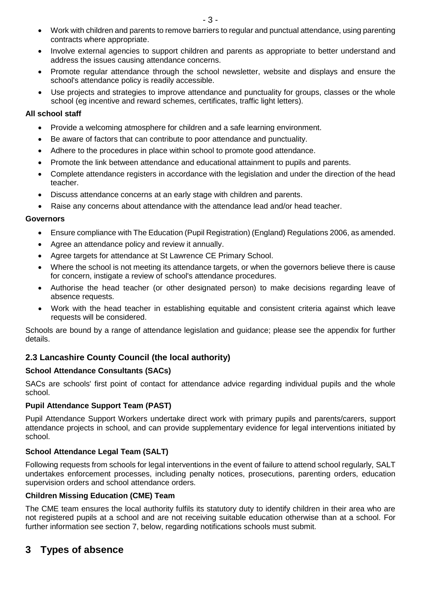- Work with children and parents to remove barriers to regular and punctual attendance, using parenting contracts where appropriate.
- Involve external agencies to support children and parents as appropriate to better understand and address the issues causing attendance concerns.
- Promote regular attendance through the school newsletter, website and displays and ensure the school's attendance policy is readily accessible.
- Use projects and strategies to improve attendance and punctuality for groups, classes or the whole school (eg incentive and reward schemes, certificates, traffic light letters).

### **All school staff**

- Provide a welcoming atmosphere for children and a safe learning environment.
- Be aware of factors that can contribute to poor attendance and punctuality.
- Adhere to the procedures in place within school to promote good attendance.
- Promote the link between attendance and educational attainment to pupils and parents.
- Complete attendance registers in accordance with the legislation and under the direction of the head teacher.
- Discuss attendance concerns at an early stage with children and parents.
- Raise any concerns about attendance with the attendance lead and/or head teacher.

### **Governors**

- Ensure compliance with The Education (Pupil Registration) (England) Regulations 2006, as amended.
- Agree an attendance policy and review it annually.
- Agree targets for attendance at St Lawrence CE Primary School.
- Where the school is not meeting its attendance targets, or when the governors believe there is cause for concern, instigate a review of school's attendance procedures.
- Authorise the head teacher (or other designated person) to make decisions regarding leave of absence requests.
- Work with the head teacher in establishing equitable and consistent criteria against which leave requests will be considered.

Schools are bound by a range of attendance legislation and guidance; please see the appendix for further details.

### <span id="page-4-0"></span>**2.3 Lancashire County Council (the local authority)**

### **School Attendance Consultants (SACs)**

SACs are schools' first point of contact for attendance advice regarding individual pupils and the whole school.

### **Pupil Attendance Support Team (PAST)**

Pupil Attendance Support Workers undertake direct work with primary pupils and parents/carers, support attendance projects in school, and can provide supplementary evidence for legal interventions initiated by school.

### **School Attendance Legal Team (SALT)**

Following requests from schools for legal interventions in the event of failure to attend school regularly, SALT undertakes enforcement processes, including penalty notices, prosecutions, parenting orders, education supervision orders and school attendance orders.

### **Children Missing Education (CME) Team**

The CME team ensures the local authority fulfils its statutory duty to identify children in their area who are not registered pupils at a school and are not receiving suitable education otherwise than at a school. For further information see section 7, below, regarding notifications schools must submit.

## <span id="page-4-1"></span>**3 Types of absence**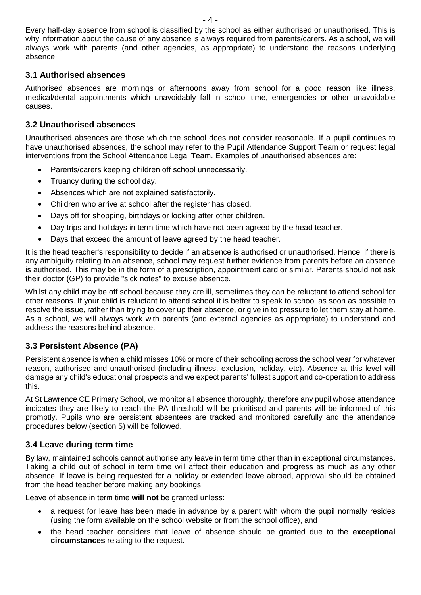Every half-day absence from school is classified by the school as either authorised or unauthorised. This is why information about the cause of any absence is always required from parents/carers. As a school, we will always work with parents (and other agencies, as appropriate) to understand the reasons underlying absence.

### <span id="page-5-0"></span>**3.1 Authorised absences**

Authorised absences are mornings or afternoons away from school for a good reason like illness, medical/dental appointments which unavoidably fall in school time, emergencies or other unavoidable causes.

#### <span id="page-5-1"></span>**3.2 Unauthorised absences**

Unauthorised absences are those which the school does not consider reasonable. If a pupil continues to have unauthorised absences, the school may refer to the Pupil Attendance Support Team or request legal interventions from the School Attendance Legal Team. Examples of unauthorised absences are:

- Parents/carers keeping children off school unnecessarily.
- Truancy during the school day.
- Absences which are not explained satisfactorily.
- Children who arrive at school after the register has closed.
- Days off for shopping, birthdays or looking after other children.
- Day trips and holidays in term time which have not been agreed by the head teacher.
- Days that exceed the amount of leave agreed by the head teacher.

It is the head teacher's responsibility to decide if an absence is authorised or unauthorised. Hence, if there is any ambiguity relating to an absence, school may request further evidence from parents before an absence is authorised. This may be in the form of a prescription, appointment card or similar. Parents should not ask their doctor (GP) to provide "sick notes" to excuse absence.

Whilst any child may be off school because they are ill, sometimes they can be reluctant to attend school for other reasons. If your child is reluctant to attend school it is better to speak to school as soon as possible to resolve the issue, rather than trying to cover up their absence, or give in to pressure to let them stay at home. As a school, we will always work with parents (and external agencies as appropriate) to understand and address the reasons behind absence.

### <span id="page-5-2"></span>**3.3 Persistent Absence (PA)**

Persistent absence is when a child misses 10% or more of their schooling across the school year for whatever reason, authorised and unauthorised (including illness, exclusion, holiday, etc). Absence at this level will damage any child's educational prospects and we expect parents' fullest support and co-operation to address this.

At St Lawrence CE Primary School, we monitor all absence thoroughly, therefore any pupil whose attendance indicates they are likely to reach the PA threshold will be prioritised and parents will be informed of this promptly. Pupils who are persistent absentees are tracked and monitored carefully and the attendance procedures below (section 5) will be followed.

### <span id="page-5-3"></span>**3.4 Leave during term time**

By law, maintained schools cannot authorise any leave in term time other than in exceptional circumstances. Taking a child out of school in term time will affect their education and progress as much as any other absence. If leave is being requested for a holiday or extended leave abroad, approval should be obtained from the head teacher before making any bookings.

Leave of absence in term time **will not** be granted unless:

- a request for leave has been made in advance by a parent with whom the pupil normally resides (using the form available on the school website or from the school office), and
- the head teacher considers that leave of absence should be granted due to the **exceptional circumstances** relating to the request.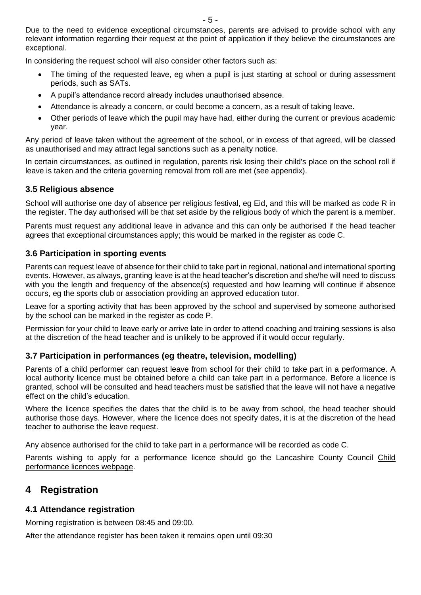Due to the need to evidence exceptional circumstances, parents are advised to provide school with any relevant information regarding their request at the point of application if they believe the circumstances are exceptional.

In considering the request school will also consider other factors such as:

- The timing of the requested leave, eg when a pupil is just starting at school or during assessment periods, such as SATs.
- A pupil's attendance record already includes unauthorised absence.
- Attendance is already a concern, or could become a concern, as a result of taking leave.
- Other periods of leave which the pupil may have had, either during the current or previous academic year.

Any period of leave taken without the agreement of the school, or in excess of that agreed, will be classed as unauthorised and may attract legal sanctions such as a penalty notice.

In certain circumstances, as outlined in regulation, parents risk losing their child's place on the school roll if leave is taken and the criteria governing removal from roll are met (see appendix).

#### <span id="page-6-0"></span>**3.5 Religious absence**

School will authorise one day of absence per religious festival, eg Eid, and this will be marked as code R in the register. The day authorised will be that set aside by the religious body of which the parent is a member.

Parents must request any additional leave in advance and this can only be authorised if the head teacher agrees that exceptional circumstances apply; this would be marked in the register as code C.

### <span id="page-6-1"></span>**3.6 Participation in sporting events**

Parents can request leave of absence for their child to take part in regional, national and international sporting events. However, as always, granting leave is at the head teacher's discretion and she/he will need to discuss with you the length and frequency of the absence(s) requested and how learning will continue if absence occurs, eg the sports club or association providing an approved education tutor.

Leave for a sporting activity that has been approved by the school and supervised by someone authorised by the school can be marked in the register as code P.

Permission for your child to leave early or arrive late in order to attend coaching and training sessions is also at the discretion of the head teacher and is unlikely to be approved if it would occur regularly.

### <span id="page-6-2"></span>**3.7 Participation in performances (eg theatre, television, modelling)**

Parents of a child performer can request leave from school for their child to take part in a performance. A local authority licence must be obtained before a child can take part in a performance. Before a licence is granted, school will be consulted and head teachers must be satisfied that the leave will not have a negative effect on the child's education.

Where the licence specifies the dates that the child is to be away from school, the head teacher should authorise those days. However, where the licence does not specify dates, it is at the discretion of the head teacher to authorise the leave request.

Any absence authorised for the child to take part in a performance will be recorded as code C.

Parents wishing to apply for a performance licence should go the Lancashire County Council Child [performance licences webpage.](https://www.lancashire.gov.uk/children-education-families/keeping-children-safe/children-in-employment-and-entertainment/child-performance-licences/)

## <span id="page-6-3"></span>**4 Registration**

#### <span id="page-6-4"></span>**4.1 Attendance registration**

Morning registration is between 08:45 and 09:00.

<span id="page-6-5"></span>After the attendance register has been taken it remains open until 09:30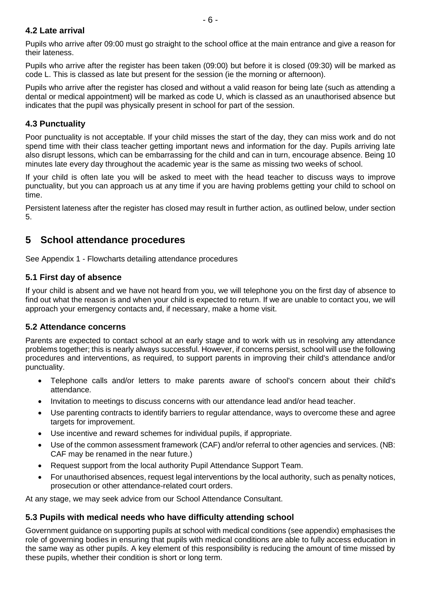### **4.2 Late arrival**

Pupils who arrive after 09:00 must go straight to the school office at the main entrance and give a reason for their lateness.

Pupils who arrive after the register has been taken (09:00) but before it is closed (09:30) will be marked as code L. This is classed as late but present for the session (ie the morning or afternoon).

Pupils who arrive after the register has closed and without a valid reason for being late (such as attending a dental or medical appointment) will be marked as code U, which is classed as an unauthorised absence but indicates that the pupil was physically present in school for part of the session.

### <span id="page-7-0"></span>**4.3 Punctuality**

Poor punctuality is not acceptable. If your child misses the start of the day, they can miss work and do not spend time with their class teacher getting important news and information for the day. Pupils arriving late also disrupt lessons, which can be embarrassing for the child and can in turn, encourage absence. Being 10 minutes late every day throughout the academic year is the same as missing two weeks of school.

If your child is often late you will be asked to meet with the head teacher to discuss ways to improve punctuality, but you can approach us at any time if you are having problems getting your child to school on time.

Persistent lateness after the register has closed may result in further action, as outlined below, under section 5.

## <span id="page-7-1"></span>**5 School attendance procedures**

See Appendix 1 - Flowcharts detailing attendance procedures

### <span id="page-7-2"></span>**5.1 First day of absence**

If your child is absent and we have not heard from you, we will telephone you on the first day of absence to find out what the reason is and when your child is expected to return. If we are unable to contact you, we will approach your emergency contacts and, if necessary, make a home visit.

### <span id="page-7-3"></span>**5.2 Attendance concerns**

Parents are expected to contact school at an early stage and to work with us in resolving any attendance problems together; this is nearly always successful. However, if concerns persist, school will use the following procedures and interventions, as required, to support parents in improving their child's attendance and/or punctuality.

- Telephone calls and/or letters to make parents aware of school's concern about their child's attendance.
- Invitation to meetings to discuss concerns with our attendance lead and/or head teacher.
- Use parenting contracts to identify barriers to regular attendance, ways to overcome these and agree targets for improvement.
- Use incentive and reward schemes for individual pupils, if appropriate.
- Use of the common assessment framework (CAF) and/or referral to other agencies and services. (NB: CAF may be renamed in the near future.)
- Request support from the local authority Pupil Attendance Support Team.
- For unauthorised absences, request legal interventions by the local authority, such as penalty notices, prosecution or other attendance-related court orders.

At any stage, we may seek advice from our School Attendance Consultant.

### <span id="page-7-4"></span>**5.3 Pupils with medical needs who have difficulty attending school**

Government guidance on supporting pupils at school with medical conditions (see appendix) emphasises the role of governing bodies in ensuring that pupils with medical conditions are able to fully access education in the same way as other pupils. A key element of this responsibility is reducing the amount of time missed by these pupils, whether their condition is short or long term.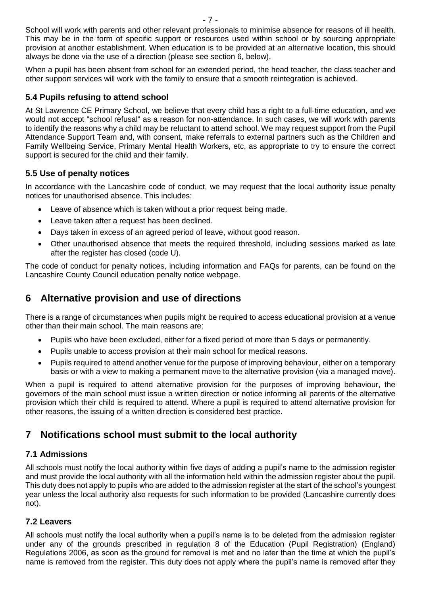School will work with parents and other relevant professionals to minimise absence for reasons of ill health. This may be in the form of specific support or resources used within school or by sourcing appropriate provision at another establishment. When education is to be provided at an alternative location, this should always be done via the use of a direction (please see section 6, below).

When a pupil has been absent from school for an extended period, the head teacher, the class teacher and other support services will work with the family to ensure that a smooth reintegration is achieved.

### <span id="page-8-0"></span>**5.4 Pupils refusing to attend school**

At St Lawrence CE Primary School, we believe that every child has a right to a full-time education, and we would not accept "school refusal" as a reason for non-attendance. In such cases, we will work with parents to identify the reasons why a child may be reluctant to attend school. We may request support from the Pupil Attendance Support Team and, with consent, make referrals to external partners such as the Children and Family Wellbeing Service, Primary Mental Health Workers, etc, as appropriate to try to ensure the correct support is secured for the child and their family.

### <span id="page-8-1"></span>**5.5 Use of penalty notices**

In accordance with the Lancashire code of conduct, we may request that the local authority issue penalty notices for unauthorised absence. This includes:

- Leave of absence which is taken without a prior request being made.
- Leave taken after a request has been declined.
- Days taken in excess of an agreed period of leave, without good reason.
- Other unauthorised absence that meets the required threshold, including sessions marked as late after the register has closed (code U).

The code of conduct for penalty notices, including information and FAQs for parents, can be found on the Lancashire County Council [education penalty notice webpage.](https://www.lancashire.gov.uk/children-education-families/schools/pay-an-education-penalty-notice/)

## <span id="page-8-2"></span>**6 Alternative provision and use of directions**

There is a range of circumstances when pupils might be required to access educational provision at a venue other than their main school. The main reasons are:

- Pupils who have been excluded, either for a fixed period of more than 5 days or permanently.
- Pupils unable to access provision at their main school for medical reasons.
- Pupils required to attend another venue for the purpose of improving behaviour, either on a temporary basis or with a view to making a permanent move to the alternative provision (via a managed move).

When a pupil is required to attend alternative provision for the purposes of improving behaviour, the governors of the main school must issue a written direction or notice informing all parents of the alternative provision which their child is required to attend. Where a pupil is required to attend alternative provision for other reasons, the issuing of a written direction is considered best practice.

## <span id="page-8-3"></span>**7 Notifications school must submit to the local authority**

### <span id="page-8-4"></span>**7.1 Admissions**

All schools must notify the local authority within five days of adding a pupil's name to the admission register and must provide the local authority with all the information held within the admission register about the pupil. This duty does not apply to pupils who are added to the admission register at the start of the school's youngest year unless the local authority also requests for such information to be provided (Lancashire currently does not).

### <span id="page-8-5"></span>**7.2 Leavers**

All schools must notify the local authority when a pupil's name is to be deleted from the admission register under any of the grounds prescribed in regulation 8 of the Education (Pupil Registration) (England) Regulations 2006, as soon as the ground for removal is met and no later than the time at which the pupil's name is removed from the register. This duty does not apply where the pupil's name is removed after they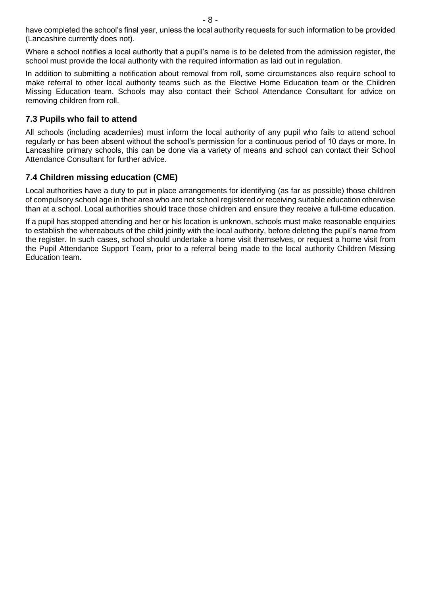have completed the school's final year, unless the local authority requests for such information to be provided (Lancashire currently does not).

Where a school notifies a local authority that a pupil's name is to be deleted from the admission register, the school must provide the local authority with the required information as laid out in regulation.

In addition to submitting a notification about removal from roll, some circumstances also require school to make referral to other local authority teams such as the Elective Home Education team or the Children Missing Education team. Schools may also contact their School Attendance Consultant for advice on removing children from roll.

### <span id="page-9-0"></span>**7.3 Pupils who fail to attend**

All schools (including academies) must inform the local authority of any pupil who fails to attend school regularly or has been absent without the school's permission for a continuous period of 10 days or more. In Lancashire primary schools, this can be done via a variety of means and school can contact their School Attendance Consultant for further advice.

### <span id="page-9-1"></span>**7.4 Children missing education (CME)**

Local authorities have a duty to put in place arrangements for identifying (as far as possible) those children of compulsory school age in their area who are not school registered or receiving suitable education otherwise than at a school. Local authorities should trace those children and ensure they receive a full-time education.

If a pupil has stopped attending and her or his location is unknown, schools must make reasonable enquiries to establish the whereabouts of the child jointly with the local authority, before deleting the pupil's name from the register. In such cases, school should undertake a home visit themselves, or request a home visit from the Pupil Attendance Support Team, prior to a referral being made to the local authority Children Missing Education team.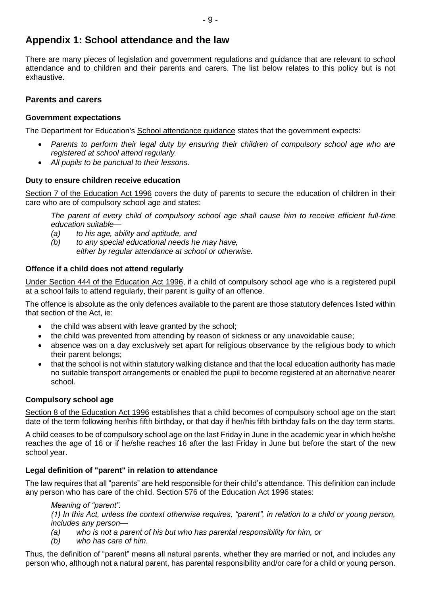## <span id="page-10-0"></span>**Appendix 1: School attendance and the law**

There are many pieces of legislation and government regulations and guidance that are relevant to school attendance and to children and their parents and carers. The list below relates to this policy but is not exhaustive.

### <span id="page-10-1"></span>**Parents and carers**

### **Government expectations**

The Department for Education's [School attendance guidance](https://www.gov.uk/government/publications/school-attendance) states that the government expects:

- Parents to perform their legal duty by ensuring their children of compulsory school age who are *registered at school attend regularly.*
- *All pupils to be punctual to their lessons.*

#### **Duty to ensure children receive education**

[Section 7 of the Education Act 1996](https://www.legislation.gov.uk/ukpga/1996/56/section/7) covers the duty of parents to secure the education of children in their care who are of compulsory school age and states:

*The parent of every child of compulsory school age shall cause him to receive efficient full-time education suitable—*

- *(a) to his age, ability and aptitude, and*
- *(b) to any special educational needs he may have, either by regular attendance at school or otherwise.*

#### **Offence if a child does not attend regularly**

Under [Section 444 of the Education Act 1996,](http://www.legislation.gov.uk/ukpga/1996/56/section/444) if a child of compulsory school age who is a registered pupil at a school fails to attend regularly, their parent is guilty of an offence.

The offence is absolute as the only defences available to the parent are those statutory defences listed within that section of the Act, ie:

- the child was absent with leave granted by the school;
- the child was prevented from attending by reason of sickness or any unavoidable cause;
- absence was on a day exclusively set apart for religious observance by the religious body to which their parent belongs;
- that the school is not within statutory walking distance and that the local education authority has made no suitable transport arrangements or enabled the pupil to become registered at an alternative nearer school.

#### **Compulsory school age**

[Section 8 of the Education Act 1996](https://www.legislation.gov.uk/ukpga/1996/56/section/8) establishes that a child becomes of compulsory school age on the start date of the term following her/his fifth birthday, or that day if her/his fifth birthday falls on the day term starts.

A child ceases to be of compulsory school age on the last Friday in June in the academic year in which he/she reaches the age of 16 or if he/she reaches 16 after the last Friday in June but before the start of the new school year.

### **Legal definition of "parent" in relation to attendance**

The law requires that all "parents" are held responsible for their child's attendance. This definition can include any person who has care of the child. [Section 576 of the Education Act 1996](https://www.legislation.gov.uk/ukpga/1996/56/section/576) states:

#### *Meaning of "parent".*

*(1) In this Act, unless the context otherwise requires, "parent", in relation to a child or young person, includes any person—*

*(a) who is not a parent of his but who has parental responsibility for him, or* 

*(b) who has care of him.*

Thus, the definition of "parent" means all natural parents, whether they are married or not, and includes any person who, although not a natural parent, has parental responsibility and/or care for a child or young person.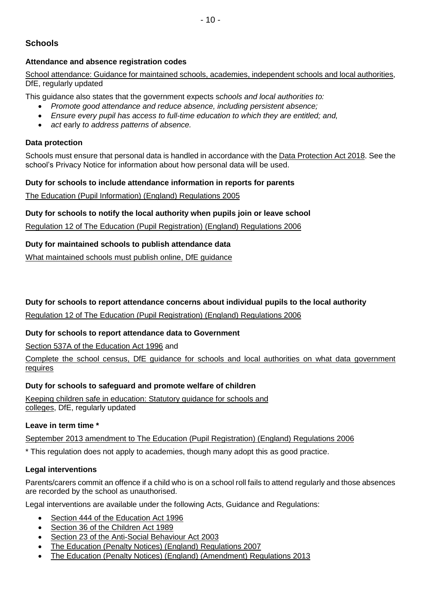### <span id="page-11-0"></span>**Schools**

### **Attendance and absence registration codes**

[School attendance: Guidance for maintained schools, academies, independent schools and local authorities,](https://www.gov.uk/government/publications/school-attendance) DfE, regularly updated

This guidance also states that the government expects s*chools and local authorities to:*

- *Promote good attendance and reduce absence, including persistent absence;*
- *Ensure every pupil has access to full-time education to which they are entitled; and,*
- *act* early *to address patterns of absence.*

#### **Data protection**

Schools must ensure that personal data is handled in accordance with th[e Data Protection Act 2018.](https://www.gov.uk/data-protection) See the school's Privacy Notice for information about how personal data will be used.

#### **Duty for schools to include attendance information in reports for parents**

[The Education \(Pupil Information\) \(England\) Regulations 2005](https://www.legislation.gov.uk/uksi/2005/1437/made)

### **Duty for schools to notify the local authority when pupils join or leave school**

[Regulation 12 of The Education \(Pupil Registration\) \(England\) Regulations 2006](https://www.legislation.gov.uk/uksi/2006/1751/regulation/12)

### **Duty for maintained schools to publish attendance data**

[What maintained schools must publish online,](https://www.gov.uk/guidance/what-maintained-schools-must-publish-online) DfE guidance

### **Duty for schools to report attendance concerns about individual pupils to the local authority**

[Regulation 12 of The Education \(Pupil Registration\) \(England\) Regulations 2006](https://www.legislation.gov.uk/uksi/2006/1751/regulation/12)

### **Duty for schools to report attendance data to Government**

[Section 537A of the Education Act 1996](https://www.legislation.gov.uk/ukpga/1996/56/section/537A) and

[Complete the school census,](https://www.gov.uk/guidance/complete-the-school-census) DfE guidance for schools and local authorities on what data government requires

#### **Duty for schools to safeguard and promote welfare of children**

Keeping children [safe in education: Statutory guidance for schools and](https://www.gov.uk/government/publications/keeping-children-safe-in-education--2) [colleges,](https://www.gov.uk/government/publications/keeping-children-safe-in-education--2) DfE, regularly updated

#### **Leave in term time \***

[September 2013 amendment to The Education \(Pupil Registration\) \(England\) Regulations 2006](https://www.legislation.gov.uk/uksi/2006/1751/contents)

\* This regulation does not apply to academies, though many adopt this as good practice.

#### **Legal interventions**

Parents/carers commit an offence if a child who is on a school roll fails to attend regularly and those absences are recorded by the school as unauthorised.

Legal interventions are available under the following Acts, Guidance and Regulations:

- [Section 444 of the Education Act 1996](http://www.legislation.gov.uk/ukpga/1996/56/section/444)
- Section 36 of the Children Act 1989
- [Section 23 of the Anti-Social Behaviour Act 2003](http://www.legislation.gov.uk/ukpga/2003/38/section/23)
- [The Education \(Penalty Notices\) \(England\) Regulations 2007](http://www.legislation.gov.uk/uksi/2007/1867/contents/made)
- [The Education \(Penalty Notices\) \(England\) \(Amendment\) Regulations 2013](http://www.legislation.gov.uk/uksi/2013/757/contents/made)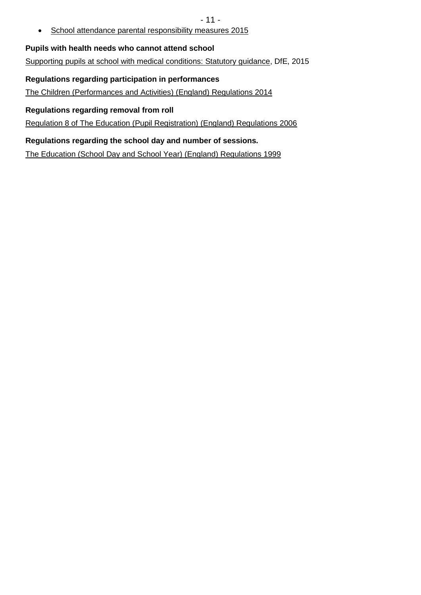• [School attendance parental responsibility measures 2015](https://www.gov.uk/government/publications/parental-responsibility-measures-for-behaviour-and-attendance)

## **Pupils with health needs who cannot attend school**

[Supporting pupils at school with medical conditions: Statutory guidance,](https://www.gov.uk/government/publications/supporting-pupils-at-school-with-medical-conditions--3) DfE, 2015

## **Regulations regarding participation in performances**

[The Children \(Performances and Activities\) \(England\) Regulations 2014](https://www.legislation.gov.uk/uksi/2014/3309/contents/made)

## **Regulations regarding removal from roll**

[Regulation 8 of The Education \(Pupil Registration\) \(England\) Regulations 2006](https://www.legislation.gov.uk/uksi/2006/1751/regulation/8)

## **Regulations regarding the school day and number of sessions.**

[The Education \(School Day and School Year\) \(England\) Regulations 1999](https://www.legislation.gov.uk/uksi/1999/3181/contents/made)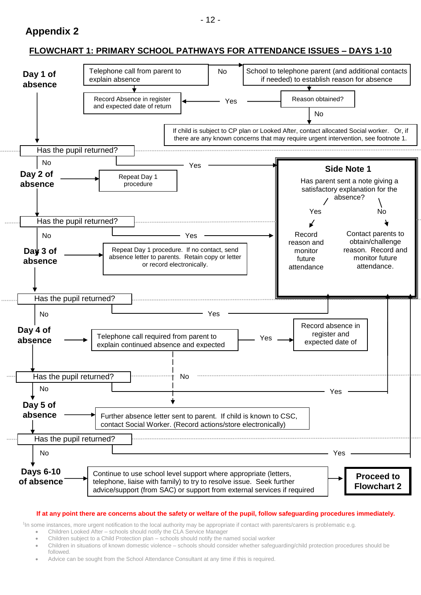## **Appendix 2**

### **FLOWCHART 1: PRIMARY SCHOOL PATHWAYS FOR ATTENDANCE ISSUES – DAYS 1-10**



#### **If at any point there are concerns about the safety or welfare of the pupil, follow safeguarding procedures immediately.**

1 In some instances, more urgent notification to the local authority may be appropriate if contact with parents/carers is problematic e.g.

- Children Looked After schools should notify the CLA Service Manager
- Children subject to a Child Protection plan schools should notify the named social worker
- Children in situations of known domestic violence schools should consider whether safeguarding/child protection procedures should be followed.
- Advice can be sought from the School Attendance Consultant at any time if this is required.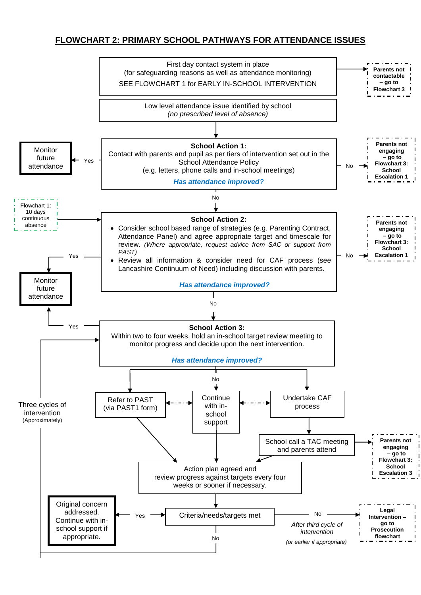## **FLOWCHART 2: PRIMARY SCHOOL PATHWAYS FOR ATTENDANCE ISSUES**